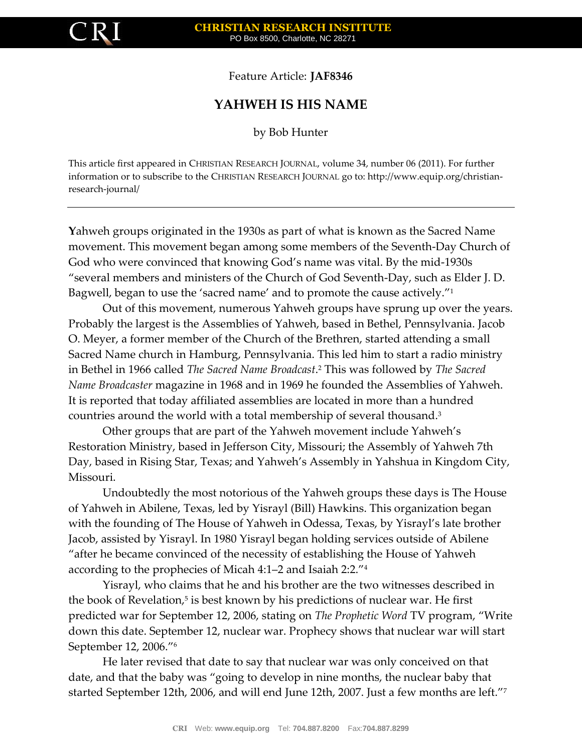

Feature Article: **JAF8346**

## **YAHWEH IS HIS NAME**

by Bob Hunter

This article first appeared in CHRISTIAN RESEARCH JOURNAL, volume 34, number 06 (2011). For further information or to subscribe to the CHRISTIAN RESEARCH JOURNAL go to: http://www.equip.org/christianresearch-journal/

**Y**ahweh groups originated in the 1930s as part of what is known as the Sacred Name movement. This movement began among some members of the Seventh-Day Church of God who were convinced that knowing God's name was vital. By the mid-1930s "several members and ministers of the Church of God Seventh-Day, such as Elder J. D. Bagwell, began to use the 'sacred name' and to promote the cause actively." 1

Out of this movement, numerous Yahweh groups have sprung up over the years. Probably the largest is the Assemblies of Yahweh, based in Bethel, Pennsylvania. Jacob O. Meyer, a former member of the Church of the Brethren, started attending a small Sacred Name church in Hamburg, Pennsylvania. This led him to start a radio ministry in Bethel in 1966 called *The Sacred Name Broadcast*. <sup>2</sup> This was followed by *The Sacred Name Broadcaster* magazine in 1968 and in 1969 he founded the Assemblies of Yahweh. It is reported that today affiliated assemblies are located in more than a hundred countries around the world with a total membership of several thousand.<sup>3</sup>

Other groups that are part of the Yahweh movement include Yahweh's Restoration Ministry, based in Jefferson City, Missouri; the Assembly of Yahweh 7th Day, based in Rising Star, Texas; and Yahweh's Assembly in Yahshua in Kingdom City, Missouri.

Undoubtedly the most notorious of the Yahweh groups these days is The House of Yahweh in Abilene, Texas, led by Yisrayl (Bill) Hawkins. This organization began with the founding of The House of Yahweh in Odessa, Texas, by Yisrayl's late brother Jacob, assisted by Yisrayl. In 1980 Yisrayl began holding services outside of Abilene "after he became convinced of the necessity of establishing the House of Yahweh according to the prophecies of Micah 4:1–2 and Isaiah 2:2." 4

Yisrayl, who claims that he and his brother are the two witnesses described in the book of Revelation,<sup>5</sup> is best known by his predictions of nuclear war. He first predicted war for September 12, 2006, stating on *The Prophetic Word* TV program, "Write down this date. September 12, nuclear war. Prophecy shows that nuclear war will start September 12, 2006." 6

He later revised that date to say that nuclear war was only conceived on that date, and that the baby was "going to develop in nine months, the nuclear baby that started September 12th, 2006, and will end June 12th, 2007. Just a few months are left." 7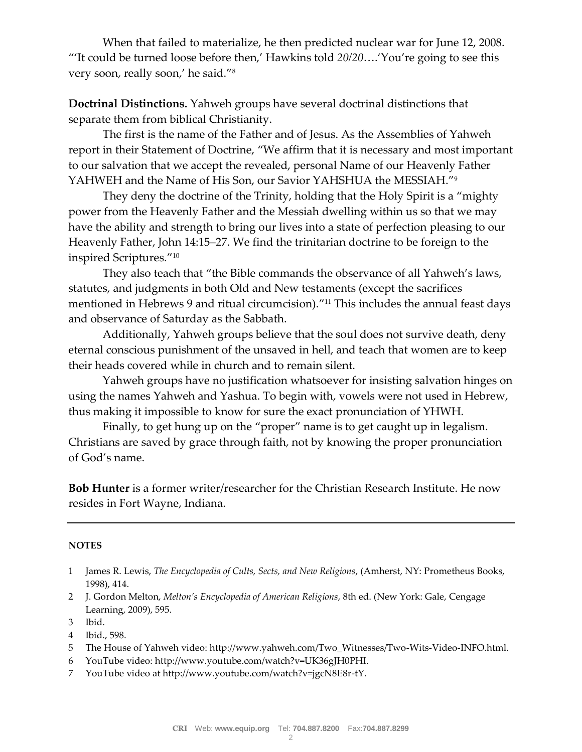When that failed to materialize, he then predicted nuclear war for June 12, 2008. "'It could be turned loose before then,' Hawkins told *20/20*….'You're going to see this very soon, really soon,' he said." 8

**Doctrinal Distinctions.** Yahweh groups have several doctrinal distinctions that separate them from biblical Christianity.

The first is the name of the Father and of Jesus. As the Assemblies of Yahweh report in their Statement of Doctrine, "We affirm that it is necessary and most important to our salvation that we accept the revealed, personal Name of our Heavenly Father YAHWEH and the Name of His Son, our Savior YAHSHUA the MESSIAH." 9

They deny the doctrine of the Trinity, holding that the Holy Spirit is a "mighty power from the Heavenly Father and the Messiah dwelling within us so that we may have the ability and strength to bring our lives into a state of perfection pleasing to our Heavenly Father, John 14:15–27. We find the trinitarian doctrine to be foreign to the inspired Scriptures." 10

They also teach that "the Bible commands the observance of all Yahweh's laws, statutes, and judgments in both Old and New testaments (except the sacrifices mentioned in Hebrews 9 and ritual circumcision)." <sup>11</sup> This includes the annual feast days and observance of Saturday as the Sabbath.

Additionally, Yahweh groups believe that the soul does not survive death, deny eternal conscious punishment of the unsaved in hell, and teach that women are to keep their heads covered while in church and to remain silent.

Yahweh groups have no justification whatsoever for insisting salvation hinges on using the names Yahweh and Yashua. To begin with, vowels were not used in Hebrew, thus making it impossible to know for sure the exact pronunciation of YHWH.

Finally, to get hung up on the "proper" name is to get caught up in legalism. Christians are saved by grace through faith, not by knowing the proper pronunciation of God's name.

**Bob Hunter** is a former writer/researcher for the Christian Research Institute. He now resides in Fort Wayne, Indiana.

## **NOTES**

- 1 James R. Lewis, *The Encyclopedia of Cults, Sects, and New Religions*, (Amherst, NY: Prometheus Books, 1998), 414.
- 2 J. Gordon Melton, *Melton's Encyclopedia of American Religions*, 8th ed. (New York: Gale, Cengage Learning, 2009), 595.

- 4 Ibid., 598.
- 5 The House of Yahweh video: http://www.yahweh.com/Two\_Witnesses/Two-Wits-Video-INFO.html.
- 6 YouTube video: http://www.youtube.com/watch?v=UK36gJH0PHI.
- 7 YouTube video at http://www.youtube.com/watch?v=jgcN8E8r-tY.

<sup>3</sup> Ibid.